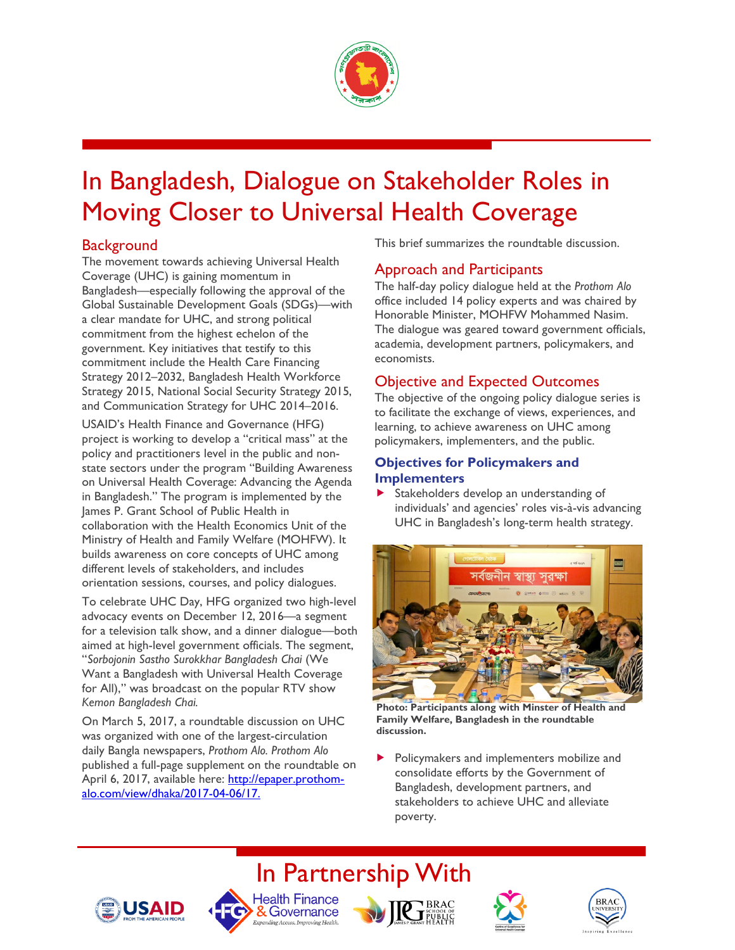

# In Bangladesh, Dialogue on Stakeholder Roles in Moving Closer to Universal Health Coverage

### **Background**

The movement towards achieving Universal Health Coverage (UHC) is gaining momentum in Bangladesh—especially following the approval of the Global Sustainable Development Goals (SDGs)—with a clear mandate for UHC, and strong political commitment from the highest echelon of the government. Key initiatives that testify to this commitment include the Health Care Financing Strategy 2012–2032, Bangladesh Health Workforce Strategy 2015, National Social Security Strategy 2015, and Communication Strategy for UHC 2014–2016.

USAID's Health Finance and Governance (HFG) project is working to develop a "critical mass" at the policy and practitioners level in the public and nonstate sectors under the program "Building Awareness on Universal Health Coverage: Advancing the Agenda in Bangladesh." The program is implemented by the James P. Grant School of Public Health in collaboration with the Health Economics Unit of the Ministry of Health and Family Welfare (MOHFW). It builds awareness on core concepts of UHC among different levels of stakeholders, and includes orientation sessions, courses, and policy dialogues.

To celebrate UHC Day, HFG organized two high-level advocacy events on December 12, 2016—a segment for a television talk show, and a dinner dialogue—both aimed at high-level government officials. The segment, "*Sorbojonin Sastho Surokkhar Bangladesh Chai* (We Want a Bangladesh with Universal Health Coverage for All)," was broadcast on the popular RTV show *Kemon Bangladesh Chai.*

On March 5, 2017, a roundtable discussion on UHC was organized with one of the largest-circulation daily Bangla newspapers, *Prothom Alo. Prothom Alo*  published a full-page supplement on the roundtable on April 6, 2017, available here: http://epaper.prothomalo.com/view/dhaka/2017-04-06/17.

This brief summarizes the roundtable discussion.

### Approach and Participants

The half-day policy dialogue held at the *Prothom Alo* office included 14 policy experts and was chaired by Honorable Minister, MOHFW Mohammed Nasim. The dialogue was geared toward government officials, academia, development partners, policymakers, and economists.

### Objective and Expected Outcomes

The objective of the ongoing policy dialogue series is to facilitate the exchange of views, experiences, and learning, to achieve awareness on UHC among policymakers, implementers, and the public.

### **Objectives for Policymakers and Implementers**

 Stakeholders develop an understanding of individuals' and agencies' roles vis-à-vis advancing UHC in Bangladesh's long-term health strategy.



**Photo: Participants along with Minster of Health and Family Welfare, Bangladesh in the roundtable discussion.**

 Policymakers and implementers mobilize and consolidate efforts by the Government of Bangladesh, development partners, and stakeholders to achieve UHC and alleviate poverty.









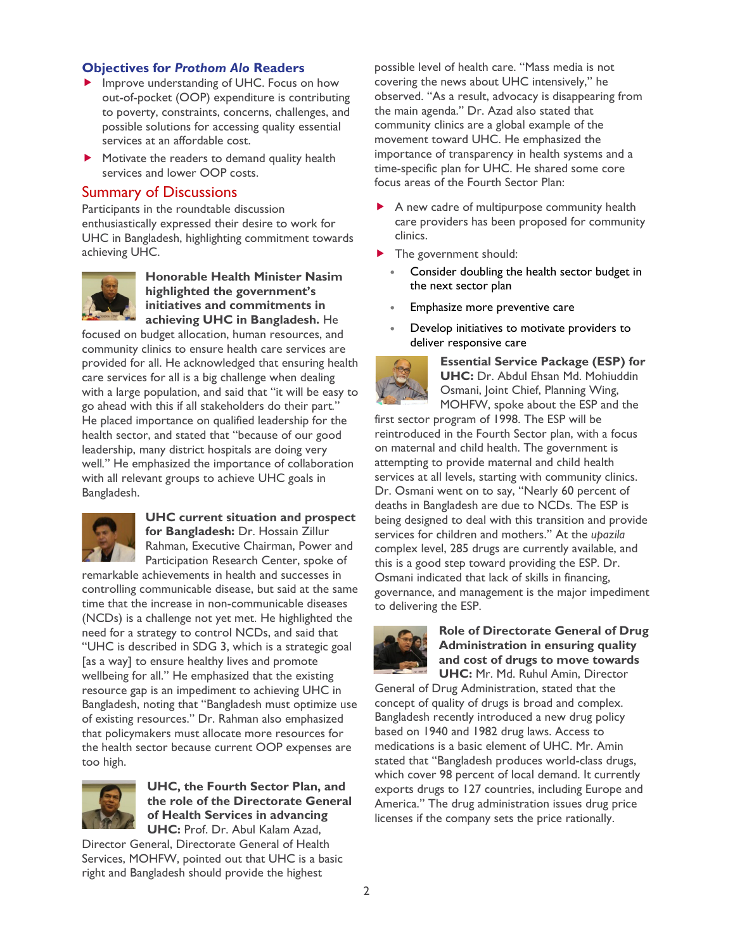#### **Objectives for** *Prothom Alo* **Readers**

- **IMPROVE UNDERTAINAL PROPERTY** Improve understanding of UHC. Focus on how out-of-pocket (OOP) expenditure is contributing to poverty, constraints, concerns, challenges, and possible solutions for accessing quality essential services at an affordable cost.
- Motivate the readers to demand quality health services and lower OOP costs.

#### Summary of Discussions

Participants in the roundtable discussion enthusiastically expressed their desire to work for UHC in Bangladesh, highlighting commitment towards achieving UHC.



**Honorable Health Minister Nasim highlighted the government's initiatives and commitments in achieving UHC in Bangladesh.** He

focused on budget allocation, human resources, and community clinics to ensure health care services are provided for all. He acknowledged that ensuring health care services for all is a big challenge when dealing with a large population, and said that "it will be easy to go ahead with this if all stakeholders do their part*.*" He placed importance on qualified leadership for the health sector, and stated that "because of our good leadership, many district hospitals are doing very well*.*" He emphasized the importance of collaboration with all relevant groups to achieve UHC goals in Bangladesh.



#### **UHC current situation and prospect for Bangladesh:** Dr. Hossain Zillur Rahman, Executive Chairman, Power and

Participation Research Center, spoke of remarkable achievements in health and successes in controlling communicable disease, but said at the same time that the increase in non-communicable diseases (NCDs) is a challenge not yet met. He highlighted the need for a strategy to control NCDs, and said that "UHC is described in SDG 3, which is a strategic goal [as a way] to ensure healthy lives and promote wellbeing for all." He emphasized that the existing resource gap is an impediment to achieving UHC in Bangladesh, noting that "Bangladesh must optimize use of existing resources." Dr. Rahman also emphasized that policymakers must allocate more resources for the health sector because current OOP expenses are too high.



#### **UHC, the Fourth Sector Plan, and the role of the Directorate General of Health Services in advancing UHC:** Prof. Dr. Abul Kalam Azad,

Director General, Directorate General of Health Services, MOHFW, pointed out that UHC is a basic right and Bangladesh should provide the highest

possible level of health care. "Mass media is not covering the news about UHC intensively," he observed. "As a result, advocacy is disappearing from the main agenda." Dr. Azad also stated that community clinics are a global example of the movement toward UHC. He emphasized the importance of transparency in health systems and a time-specific plan for UHC. He shared some core focus areas of the Fourth Sector Plan:

- A new cadre of multipurpose community health care providers has been proposed for community clinics.
- The government should:
	- Consider doubling the health sector budget in the next sector plan
	- Emphasize more preventive care
	- Develop initiatives to motivate providers to deliver responsive care



**Essential Service Package (ESP) for UHC:** Dr. Abdul Ehsan Md. Mohiuddin Osmani, Joint Chief, Planning Wing, MOHFW, spoke about the ESP and the

first sector program of 1998. The ESP will be reintroduced in the Fourth Sector plan, with a focus on maternal and child health. The government is attempting to provide maternal and child health services at all levels, starting with community clinics. Dr. Osmani went on to say, "Nearly 60 percent of deaths in Bangladesh are due to NCDs. The ESP is being designed to deal with this transition and provide services for children and mothers." At the *upazila*  complex level, 285 drugs are currently available, and this is a good step toward providing the ESP. Dr. Osmani indicated that lack of skills in financing, governance, and management is the major impediment to delivering the ESP.



#### **Role of Directorate General of Drug Administration in ensuring quality and cost of drugs to move towards UHC:** Mr. Md. Ruhul Amin, Director

General of Drug Administration, stated that the concept of quality of drugs is broad and complex. Bangladesh recently introduced a new drug policy based on 1940 and 1982 drug laws. Access to medications is a basic element of UHC. Mr. Amin stated that "Bangladesh produces world-class drugs, which cover 98 percent of local demand. It currently exports drugs to 127 countries, including Europe and America." The drug administration issues drug price licenses if the company sets the price rationally.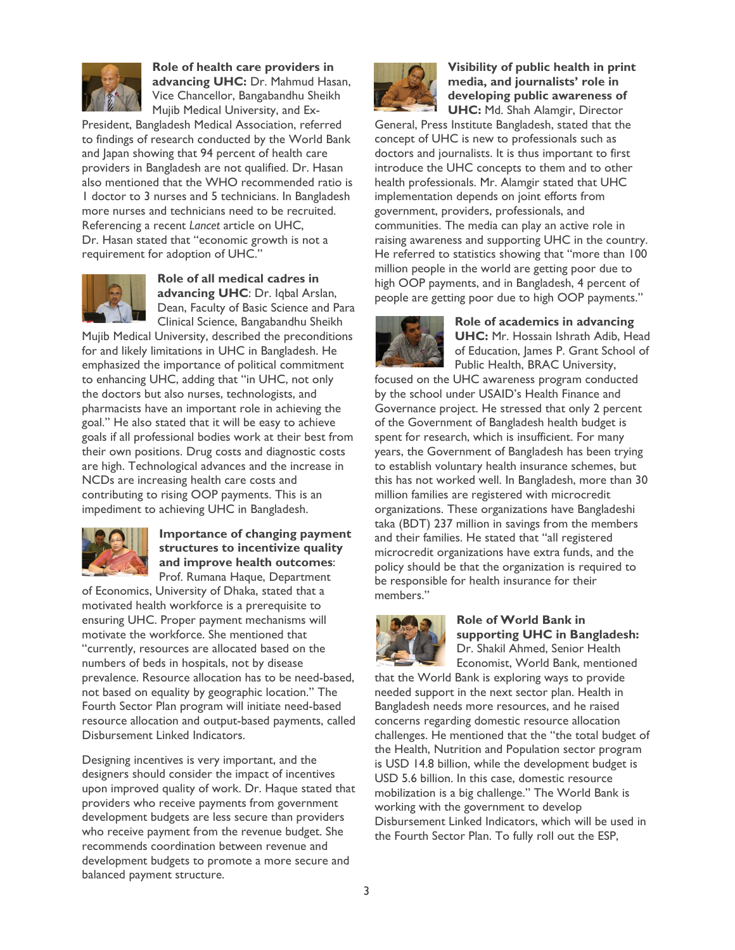

**Role of health care providers in advancing UHC:** Dr. Mahmud Hasan, Vice Chancellor, Bangabandhu Sheikh Mujib Medical University, and Ex-

President, Bangladesh Medical Association, referred to findings of research conducted by the World Bank and Japan showing that 94 percent of health care providers in Bangladesh are not qualified. Dr. Hasan also mentioned that the WHO recommended ratio is 1 doctor to 3 nurses and 5 technicians. In Bangladesh more nurses and technicians need to be recruited. Referencing a recent *Lancet* article on UHC, Dr. Hasan stated that "economic growth is not a requirement for adoption of UHC."



**Role of all medical cadres in advancing UHC**: Dr. Iqbal Arslan, Dean, Faculty of Basic Science and Para Clinical Science, Bangabandhu Sheikh

Mujib Medical University, described the preconditions for and likely limitations in UHC in Bangladesh. He emphasized the importance of political commitment to enhancing UHC, adding that "in UHC, not only the doctors but also nurses, technologists, and pharmacists have an important role in achieving the goal." He also stated that it will be easy to achieve goals if all professional bodies work at their best from their own positions. Drug costs and diagnostic costs are high. Technological advances and the increase in NCDs are increasing health care costs and contributing to rising OOP payments. This is an impediment to achieving UHC in Bangladesh.



#### **Importance of changing payment structures to incentivize quality and improve health outcomes**: Prof. Rumana Haque, Department

of Economics, University of Dhaka, stated that a motivated health workforce is a prerequisite to ensuring UHC. Proper payment mechanisms will motivate the workforce. She mentioned that "currently, resources are allocated based on the numbers of beds in hospitals, not by disease prevalence. Resource allocation has to be need-based, not based on equality by geographic location." The Fourth Sector Plan program will initiate need-based resource allocation and output-based payments, called Disbursement Linked Indicators.

Designing incentives is very important, and the designers should consider the impact of incentives upon improved quality of work. Dr. Haque stated that providers who receive payments from government development budgets are less secure than providers who receive payment from the revenue budget. She recommends coordination between revenue and development budgets to promote a more secure and balanced payment structure.



**Visibility of public health in print media, and journalists' role in developing public awareness of UHC:** Md. Shah Alamgir, Director

General, Press Institute Bangladesh, stated that the concept of UHC is new to professionals such as doctors and journalists. It is thus important to first introduce the UHC concepts to them and to other health professionals. Mr. Alamgir stated that UHC implementation depends on joint efforts from government, providers, professionals, and communities. The media can play an active role in raising awareness and supporting UHC in the country. He referred to statistics showing that "more than 100 million people in the world are getting poor due to high OOP payments, and in Bangladesh, 4 percent of people are getting poor due to high OOP payments."



**Role of academics in advancing UHC:** Mr. Hossain Ishrath Adib, Head of Education, James P. Grant School of Public Health, BRAC University,

focused on the UHC awareness program conducted by the school under USAID's Health Finance and Governance project. He stressed that only 2 percent of the Government of Bangladesh health budget is spent for research, which is insufficient. For many years, the Government of Bangladesh has been trying to establish voluntary health insurance schemes, but this has not worked well. In Bangladesh, more than 30 million families are registered with microcredit organizations. These organizations have Bangladeshi taka (BDT) 237 million in savings from the members and their families. He stated that "all registered microcredit organizations have extra funds, and the policy should be that the organization is required to be responsible for health insurance for their members."



#### **Role of World Bank in supporting UHC in Bangladesh:** Dr. Shakil Ahmed, Senior Health Economist, World Bank, mentioned

that the World Bank is exploring ways to provide needed support in the next sector plan. Health in Bangladesh needs more resources, and he raised concerns regarding domestic resource allocation challenges. He mentioned that the "the total budget of the Health, Nutrition and Population sector program is USD 14.8 billion, while the development budget is USD 5.6 billion. In this case, domestic resource mobilization is a big challenge." The World Bank is working with the government to develop Disbursement Linked Indicators, which will be used in the Fourth Sector Plan. To fully roll out the ESP,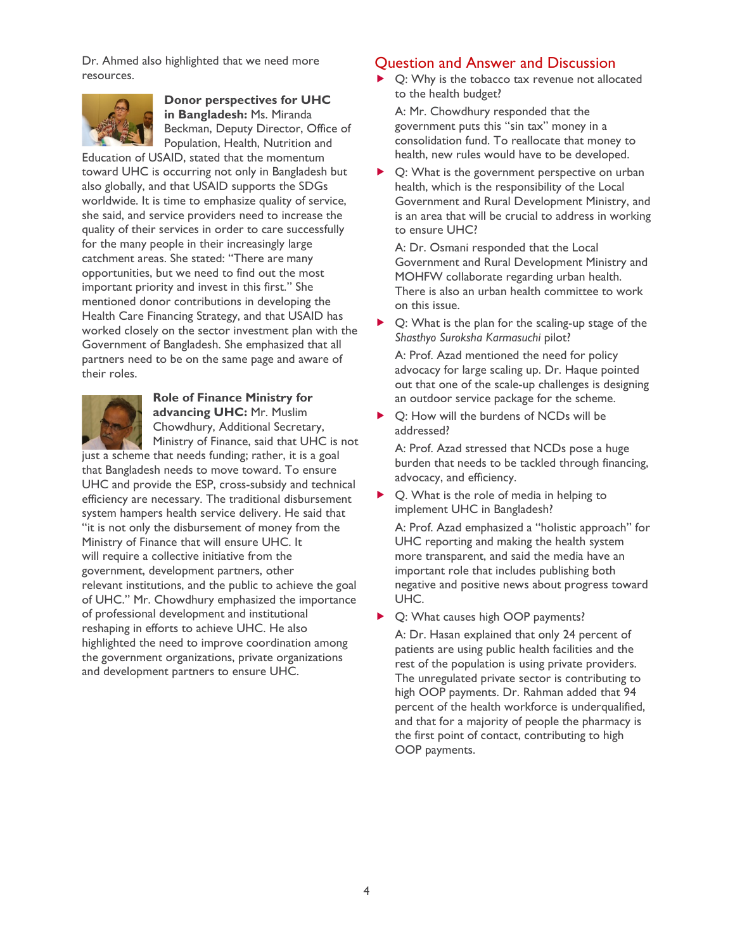Dr. Ahmed also highlighted that we need more resources.



**Donor perspectives for UHC in Bangladesh:** Ms. Miranda Beckman, Deputy Director, Office of Population, Health, Nutrition and

Education of USAID, stated that the momentum toward UHC is occurring not only in Bangladesh but also globally, and that USAID supports the SDGs worldwide. It is time to emphasize quality of service, she said, and service providers need to increase the quality of their services in order to care successfully for the many people in their increasingly large catchment areas. She stated: "There are many opportunities, but we need to find out the most important priority and invest in this first." She mentioned donor contributions in developing the Health Care Financing Strategy, and that USAID has worked closely on the sector investment plan with the Government of Bangladesh. She emphasized that all partners need to be on the same page and aware of their roles.



**Role of Finance Ministry for advancing UHC:** Mr. Muslim Chowdhury, Additional Secretary, Ministry of Finance, said that UHC is not

just a scheme that needs funding; rather, it is a goal that Bangladesh needs to move toward. To ensure UHC and provide the ESP, cross-subsidy and technical efficiency are necessary. The traditional disbursement system hampers health service delivery. He said that "it is not only the disbursement of money from the Ministry of Finance that will ensure UHC. It will require a collective initiative from the government, development partners, other relevant institutions, and the public to achieve the goal of UHC." Mr. Chowdhury emphasized the importance of professional development and institutional reshaping in efforts to achieve UHC. He also highlighted the need to improve coordination among the government organizations, private organizations and development partners to ensure UHC.

#### Question and Answer and Discussion

 Q: Why is the tobacco tax revenue not allocated to the health budget?

A: Mr. Chowdhury responded that the government puts this "sin tax" money in a consolidation fund. To reallocate that money to health, new rules would have to be developed.

▶ Q: What is the government perspective on urban health, which is the responsibility of the Local Government and Rural Development Ministry, and is an area that will be crucial to address in working to ensure UHC?

A: Dr. Osmani responded that the Local Government and Rural Development Ministry and MOHFW collaborate regarding urban health. There is also an urban health committee to work on this issue.

▶ Q: What is the plan for the scaling-up stage of the *Shasthyo Suroksha Karmasuchi* pilot?

A: Prof. Azad mentioned the need for policy advocacy for large scaling up. Dr. Haque pointed out that one of the scale-up challenges is designing an outdoor service package for the scheme.

 Q: How will the burdens of NCDs will be addressed?

A: Prof. Azad stressed that NCDs pose a huge burden that needs to be tackled through financing, advocacy, and efficiency.

▶ Q. What is the role of media in helping to implement UHC in Bangladesh?

A: Prof. Azad emphasized a "holistic approach" for UHC reporting and making the health system more transparent, and said the media have an important role that includes publishing both negative and positive news about progress toward UHC.

▶ Q: What causes high OOP payments?

A: Dr. Hasan explained that only 24 percent of patients are using public health facilities and the rest of the population is using private providers. The unregulated private sector is contributing to high OOP payments. Dr. Rahman added that 94 percent of the health workforce is underqualified, and that for a majority of people the pharmacy is the first point of contact, contributing to high OOP payments.